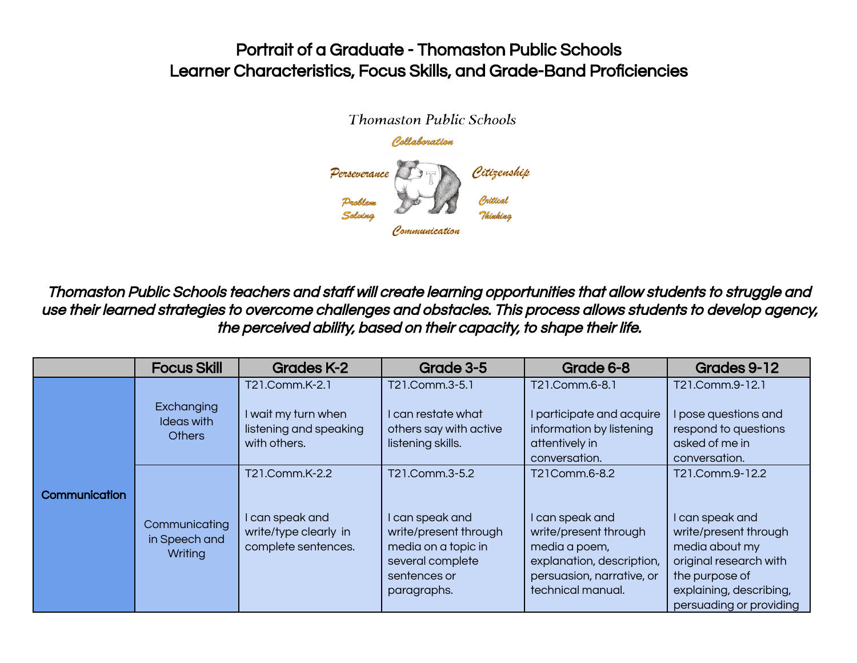

Thomaston Public Schools teachers and staff will create learning opportunities that allow students to struggle and use their learned strategies to overcome challenges and obstacles. This process allows students to develop agency, the perceived ability, based on their capacity, to shape their life.

|                      | <b>Focus Skill</b>                        | <b>Grades K-2</b>                                                                 | Grade 3-5                                                                                                                            | Grade 6-8                                                                                                                                                 | Grades 9-12                                                                                                                                                                     |
|----------------------|-------------------------------------------|-----------------------------------------------------------------------------------|--------------------------------------------------------------------------------------------------------------------------------------|-----------------------------------------------------------------------------------------------------------------------------------------------------------|---------------------------------------------------------------------------------------------------------------------------------------------------------------------------------|
|                      | Exchanging<br>Ideas with<br><b>Others</b> | T21.Comm.K-2.1<br>I wait my turn when<br>listening and speaking<br>with others.   | T21.Comm.3-5.1<br>l can restate what<br>others say with active<br>listening skills.                                                  | T21.Comm.6-8.1<br>I participate and acquire<br>information by listening<br>attentively in<br>conversation.                                                | T21.Comm.9-12.1<br>I pose questions and<br>respond to questions<br>asked of me in<br>conversation.                                                                              |
| <b>Communication</b> | Communicating<br>in Speech and<br>Writing | T21.Comm.K-2.2<br>I can speak and<br>write/type clearly in<br>complete sentences. | T21.Comm.3-5.2<br>I can speak and<br>write/present through<br>media on a topic in<br>several complete<br>sentences or<br>paragraphs. | T21Comm.6-8.2<br>I can speak and<br>write/present through<br>media a poem,<br>explanation, description,<br>persuasion, narrative, or<br>technical manual. | T21.Comm.9-12.2<br>I can speak and<br>write/present through<br>media about my<br>original research with<br>the purpose of<br>explaining, describing,<br>persuading or providing |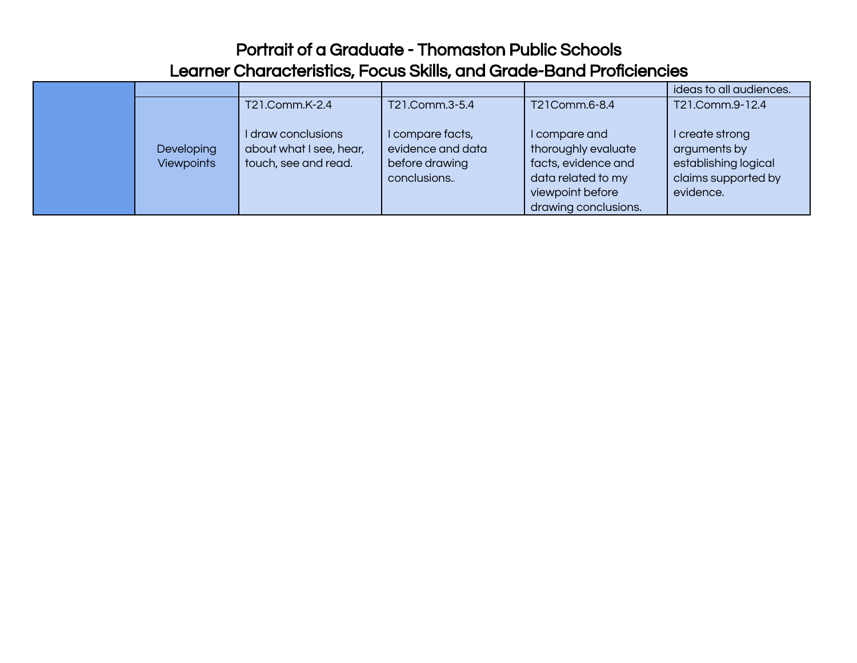|                                 |                                                                       |                                                                         |                                                                                                                               | ideas to all audiences.                                                                     |
|---------------------------------|-----------------------------------------------------------------------|-------------------------------------------------------------------------|-------------------------------------------------------------------------------------------------------------------------------|---------------------------------------------------------------------------------------------|
|                                 | T21.Comm.K-2.4                                                        | T21.Comm.3-5.4                                                          | T21Comm.6-8.4                                                                                                                 | T21.Comm.9-12.4                                                                             |
| Developing<br><b>Viewpoints</b> | I draw conclusions<br>about what I see, hear,<br>touch, see and read. | I compare facts,<br>evidence and data<br>before drawing<br>conclusions. | I compare and<br>thoroughly evaluate<br>facts, evidence and<br>data related to my<br>viewpoint before<br>drawing conclusions. | I create strong<br>arguments by<br>establishing logical<br>claims supported by<br>evidence. |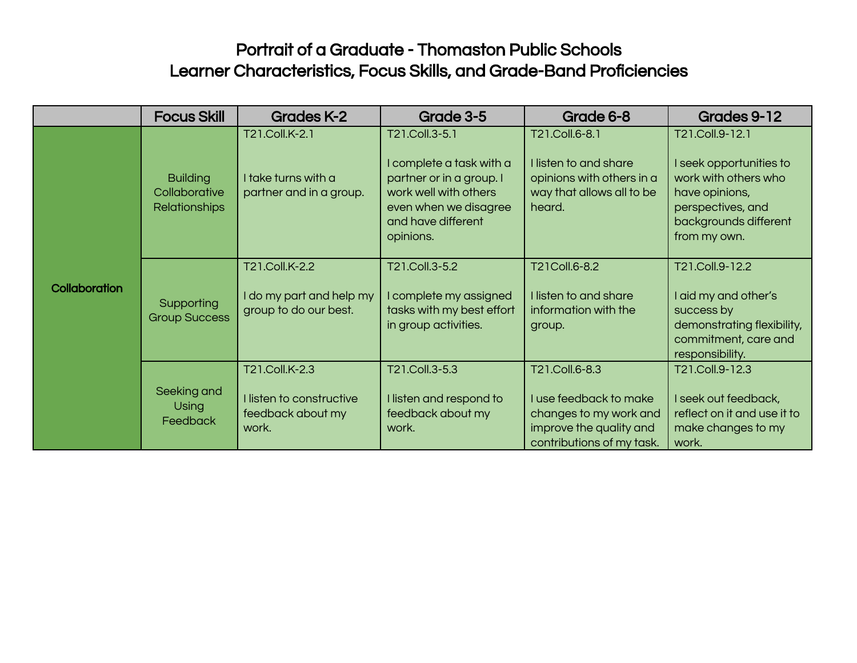|                      | <b>Focus Skill</b>                                       | <b>Grades K-2</b>                                                        | Grade 3-5                                                                                                                                                   | Grade 6-8                                                                                                                  | Grades 9-12                                                                                                                                        |
|----------------------|----------------------------------------------------------|--------------------------------------------------------------------------|-------------------------------------------------------------------------------------------------------------------------------------------------------------|----------------------------------------------------------------------------------------------------------------------------|----------------------------------------------------------------------------------------------------------------------------------------------------|
| <b>Collaboration</b> | <b>Building</b><br>Collaborative<br><b>Relationships</b> | T21.Coll.K-2.1<br>I take turns with a<br>partner and in a group.         | T21.Coll.3-5.1<br>I complete a task with a<br>partner or in a group. I<br>work well with others<br>even when we disagree<br>and have different<br>opinions. | T21.Coll.6-8.1<br>I listen to and share<br>opinions with others in a<br>way that allows all to be<br>heard.                | T21.Coll.9-12.1<br>I seek opportunities to<br>work with others who<br>have opinions,<br>perspectives, and<br>backgrounds different<br>from my own. |
|                      | Supporting<br><b>Group Success</b>                       | T21.Coll.K-2.2<br>I do my part and help my<br>group to do our best.      | T21.Coll.3-5.2<br>I complete my assigned<br>tasks with my best effort<br>in group activities.                                                               | T21Coll.6-8.2<br>I listen to and share<br>information with the<br>group.                                                   | T21.Coll.9-12.2<br>I aid my and other's<br>success by<br>demonstrating flexibility,<br>commitment, care and<br>responsibility.                     |
|                      | Seeking and<br><b>Using</b><br><b>Feedback</b>           | T21.Coll.K-2.3<br>I listen to constructive<br>feedback about my<br>work. | T21.Coll.3-5.3<br>I listen and respond to<br>feedback about my<br>work.                                                                                     | T21.Coll.6-8.3<br>I use feedback to make<br>changes to my work and<br>improve the quality and<br>contributions of my task. | T21.Coll.9-12.3<br>I seek out feedback,<br>reflect on it and use it to<br>make changes to my<br>work.                                              |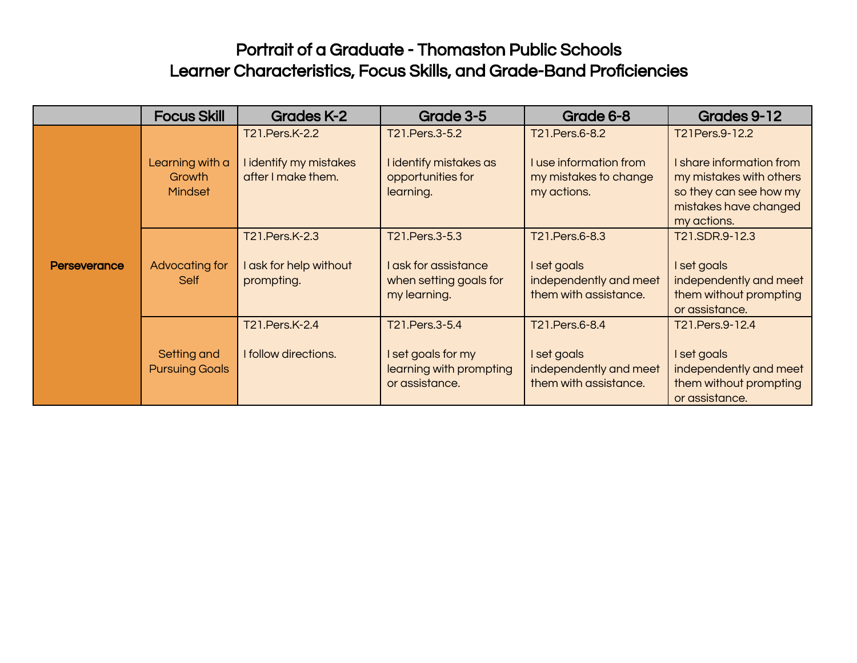|                     | <b>Focus Skill</b>                          | <b>Grades K-2</b>                                              | Grade 3-5                                                                         | Grade 6-8                                                                        | Grades 9-12                                                                                                                             |
|---------------------|---------------------------------------------|----------------------------------------------------------------|-----------------------------------------------------------------------------------|----------------------------------------------------------------------------------|-----------------------------------------------------------------------------------------------------------------------------------------|
| <b>Perseverance</b> | Learning with a<br>Growth<br><b>Mindset</b> | T21.Pers.K-2.2<br>I identify my mistakes<br>after I make them. | T21. Pers. 3-5.2<br>I identify mistakes as<br>opportunities for<br>learning.      | T21.Pers.6-8.2<br>I use information from<br>my mistakes to change<br>my actions. | T21Pers.9-12.2<br>I share information from<br>my mistakes with others<br>so they can see how my<br>mistakes have changed<br>my actions. |
|                     | Advocating for<br>Self                      | T21.Pers.K-2.3<br>I ask for help without<br>prompting.         | T21.Pers.3-5.3<br>I ask for assistance<br>when setting goals for<br>my learning.  | T21.Pers.6-8.3<br>I set goals<br>independently and meet<br>them with assistance. | T21.SDR.9-12.3<br>I set goals<br>independently and meet<br>them without prompting<br>or assistance.                                     |
|                     | Setting and<br><b>Pursuing Goals</b>        | T21.Pers.K-2.4<br>I follow directions.                         | T21.Pers.3-5.4<br>I set goals for my<br>learning with prompting<br>or assistance. | T21.Pers.6-8.4<br>I set goals<br>independently and meet<br>them with assistance. | T21.Pers.9-12.4<br>I set goals<br>independently and meet<br>them without prompting<br>or assistance.                                    |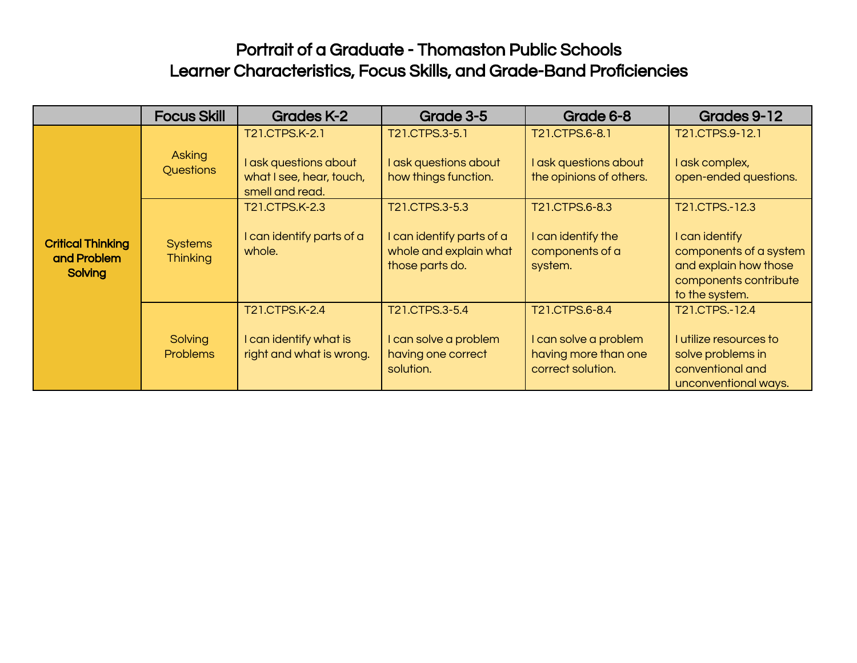|                                                    | <b>Focus Skill</b>                | <b>Grades K-2</b>                                                                      | Grade 3-5                                                                                | Grade 6-8                                                                            | Grades 9-12                                                                                                                    |
|----------------------------------------------------|-----------------------------------|----------------------------------------------------------------------------------------|------------------------------------------------------------------------------------------|--------------------------------------------------------------------------------------|--------------------------------------------------------------------------------------------------------------------------------|
| <b>Critical Thinking</b><br>and Problem<br>Solving | Asking<br>Questions               | T21.CTPS.K-2.1<br>I ask questions about<br>what I see, hear, touch,<br>smell and read. | T21.CTPS.3-5.1<br>I ask questions about<br>how things function.                          | T21.CTPS.6-8.1<br>I ask questions about<br>the opinions of others.                   | T21.CTPS.9-12.1<br>I ask complex,<br>open-ended questions.                                                                     |
|                                                    | <b>Systems</b><br><b>Thinking</b> | T21.CTPS.K-2.3<br>I can identify parts of a<br>whole.                                  | T21.CTPS.3-5.3<br>I can identify parts of a<br>whole and explain what<br>those parts do. | T21.CTPS.6-8.3<br>I can identify the<br>components of a<br>system.                   | T21.CTPS.-12.3<br>I can identify<br>components of a system<br>and explain how those<br>components contribute<br>to the system. |
|                                                    | Solving<br><b>Problems</b>        | T21.CTPS.K-2.4<br>I can identify what is<br>right and what is wrong.                   | T21.CTPS.3-5.4<br>I can solve a problem<br>having one correct<br>solution.               | T21.CTPS.6-8.4<br>I can solve a problem<br>having more than one<br>correct solution. | T21.CTPS.-12.4<br>I utilize resources to<br>solve problems in<br>conventional and<br>unconventional ways.                      |